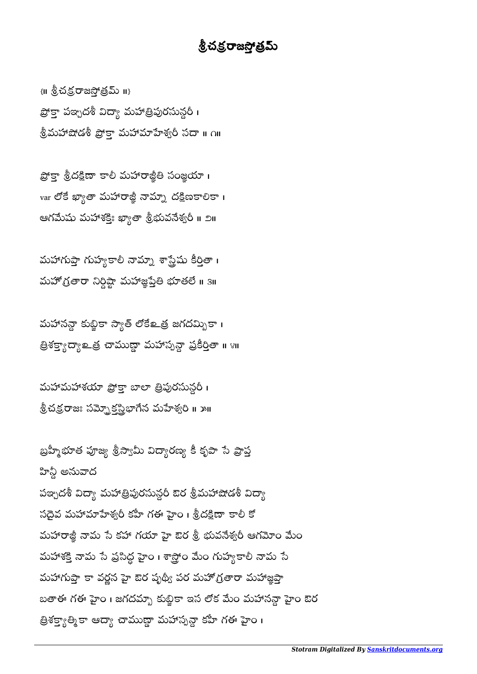హిన్దీ అనువాద పఞ్చదశీ విద్యా మహాత్రిపురసున్ధరీ ఔర శ్రీమహాషోడశీ విద్యా సదైవ మహామాహేశ్వరీ కహీ గఈ హైం। శ్రీదక్షిణా కాలీ కో మహారాజ్జీ నామ సే కహా గయా హై ఔర శ్రీ భువనేశ్వరీ ఆగమోం మేం మహాశక్తి నామ సే ప్రసిద్ధ హైం । శాస్త్రోం మేం గుహ్యకాలీ నామ సే మహాగుప్తా కా వర్ణన హై ఔర పృథ్యీ పర మహోగ్రతారా మహాజ్ఞప్తా బతాఈ గఈ హైం । జగదమ్బా కుబ్జికా ఇస లోక మేం మహానన్గా హైం ఔర త్రిశక్త్యాత్మికా ఆద్యా చాముణ్ణా మహాస్పన్దా కహీ గఈ హైం ।

మహావయా ప్రొక్తా బాలా త్రిపురసున్గరీ । శ్రీచక్రరాజః సమ్బెక్టర్హిభాగేన మహేశ్వరి ॥ ౫॥

బ్రహ్మీభూత పూజ్య శ్రీస్యామీ విద్యారణ్య కీ కృపా సే ప్రాప్త

మహానన్దా కుబ్జికా స్యాత్ లోకేஉత్ర జగదమ్బికా ၊ త్రిశక్త్యాద్యా అమస్తా మహాస్పన్గా ప్రకీర్తితా ॥ ४॥

మహాగుప్తా గుహ్యకాలీ నామ్మా శాస్త్రేషు కీర్తితా । మహోగ్రతారా నిర్దిష్టా మహాజ్ఞప్తేతి భూతలే ॥ 3॥

ప్రోక్తా శ్రీదక్షిణా కాలీ మహారాజ్జీతి సంజ్ఞయా। var లోకే ఖ్యాతా మహారాజ్జీ నామ్నా దక్షిణకాలికా । ఆగమేషు మహాశక్తిః ఖ్యాతా శ్రీభువనేశ్వరీ ॥ ౨॥

 $\{II\}$  శ్రీచక్ర రాజస్తోత్రమ్ II} ప్రోక్తా పఞ్చదశీ విద్యా మహాత్రిపురసున్దరీ। శ్రీమహాషోడశీ ప్రొక్తా మహామాశ్వరీ సదా ॥ ౧॥

## <u>శ్రీచక్ర</u>రాజస్తోత్రమ్